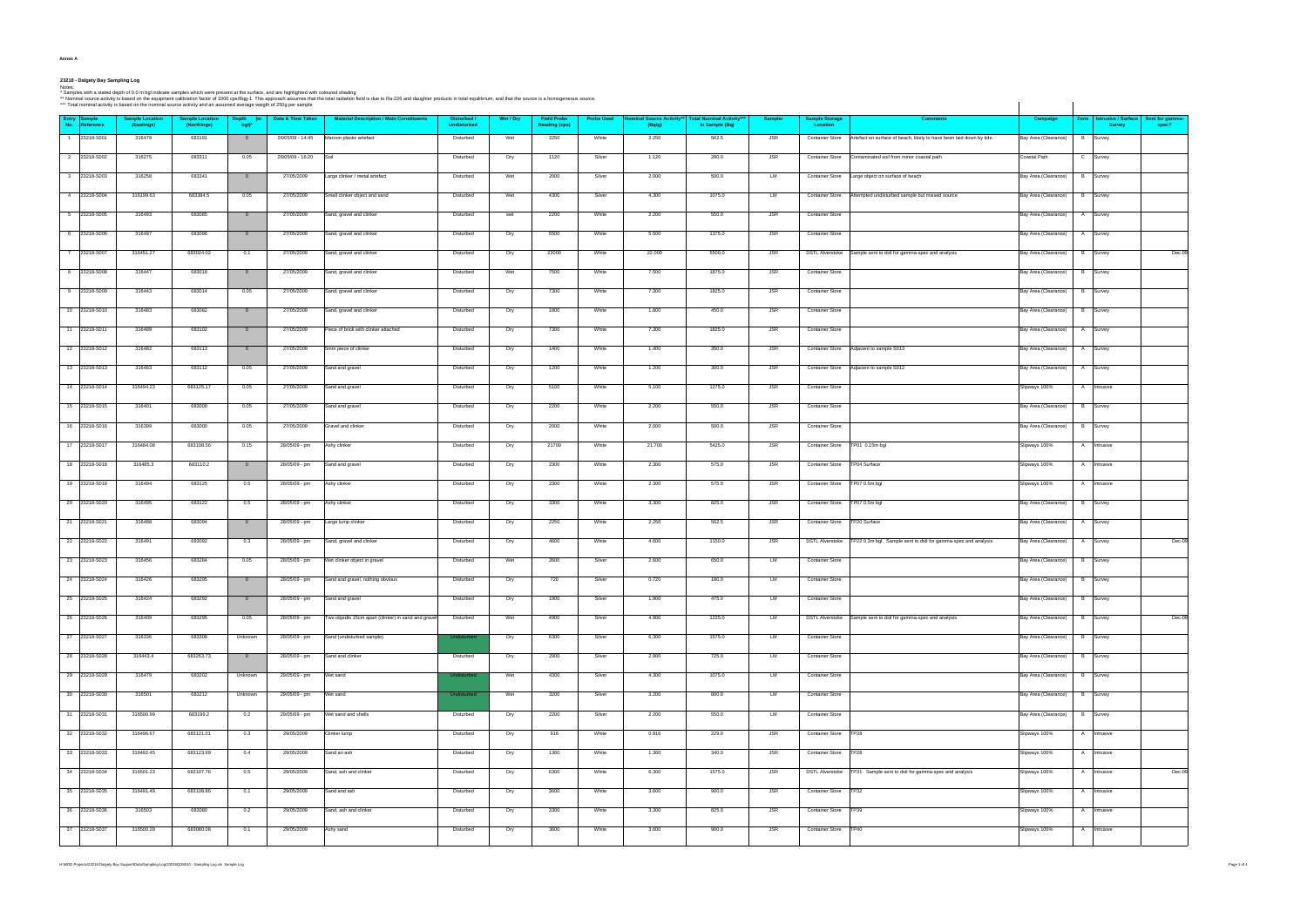**Annex A**

## **23218 - Dalgety Bay Sampling Log**

**Entry No. Sample ReferenceSample Location (Eastings) Sample Location (Northings) Depth (m bgl)\* Date & Time Taken Material Description / Main Constituents Disturbed / UndisturbedWet / Dry Field Probe Reading (cps) Probe Used Nominal Source Activity\*\* (Bq/g) Total Nominal Activity\*\*\* in Sample (Bq) Sampler Sample Storage Location** 1 23218-S001 | 316479 | 683191 | 0 | 2605/09-14:45 |Maroon plastic artefact Maroon plastic artefact Maroon plastic artefact Maroon plastic artefact Maroon plastic artefact Maroon plastic artefact Maroon Disturbed | Disturb 2 23218-S002 | 316275 | 683311 | 0.05 | 26/05/09-16:20 |Soil | Disturbed | Dry | 1120 | Silver | 1.120 | 280.0 | JSR | Contaminated soil from minor coastal path | C Castal Path | C | Survey 3 23218-S003 | 316258 | 683341 | 0 | 27/05/2009 |Large clinker / metal artefact bisturbed | Wet | 2000 | Silver | 2.000 | Disturbed Disturbed Disturbed | Wet | 2.000 | 2.000 | LM | Container Store |Large object on surface 4 23218-S004 | 316199.63 | 683384.5 | 0.05 | 27/05/2009 Small clinker object and sand | Disturbed Wet 4300 | Silver | 4.300 | 1075.0 | LM | Container Store Attempted undisturbed sample but missed source Bay Area (Clearance 5 23218-S005 | 316493 | 683085 | 0 | 27/05/2009 |Sand, gravel and clinker | Disturbed | wet | 2200 | White | 2.200 | S50.0 | JSR | Container Store | Bay Area (Clearance) | A |Survey 6 23218-S006 | 316497 | 683096 | 0 | 27/05/2009 Sand, gravel and clinker | Disturbed | Dry | 5500 | White | 5.500 | 1375.0 | JSR | Container Store | Bay Area (Clearance) | A Survey 7 23218-S007 | 316451.27 | 683024.02 | 0.1 | 27/05/2009 Sand, gravel and clinker Matchinker Disturbed | Dry | 22000 | White | 22.000 | JSR | DSTL Alverstoke Sample sent to dstl for gamma-spec and analysis Matching (Bay Are 8 23218-S008 | 316447 | 683018 | 0 | 27/05/2009 |Sand, gravel and clinker | Disturbed | Wet | 7500 | White | 7.500 | 1875.0 | JSR | Container Store | Bay Area (Clearance) | B |Survey 9 23218-S009 | 316443 | 683014 | 0.05 | 27/05/2009 |Sand, gravel and clinker | Disturbed | Dry | 7300 | White | 7.300 | 1825.0 | JSR | Container Store | Bay Area (Clearance) | B |Survey 10 23218-S010 | 316483 | 683082 | 0 | 27/05/2009 |Sand, gravel and clinker | Disturbed | Dry | 1800 | White | 1.800 | JSR | Container Store | Disturbed | Bay Area (Clearance) | B |Survey 11 23218-S011 | 316489 | 683102 | 0 | 27/05/2009 Piece of brick with clinker attached | Dry | 7300 | White | 7.300 | 1825.0 | JSR | Container Store | Bay Area (Clearance) | A Survey 12 23218-S012 | 316482 | 683113 | 0 | 27/05/2009 |5mm piece of clinker | Disturbed | Dry | 1400 | White | 1.400 | 350.0 | JSR | Container Store Adjacent to sample S013 | Bay Area (Clearance) | A Survey 13 23218-S013 | 316483 | 683112 | 0.05 | 27/05/2009 |Sand and gravel Michael Dry | 1200 | White | 1.200 | 300.0 | JSR | Container Store |Adjacent to sample S012 New | Bay Area (Clearance) | A |Survey 14 23218-S014 | 316494.23 | 683125.17 | 0.05 | 27/05/2009 |Sand and gravel Disturbed | Dry | 5100 | White | 5.100 | 1275.0 | JSR | Container Store | | Slipways 100% | A |Intrusive 15 23218-S015 | 316401 | 683000 | 0.05 | 27/05/2009 |Sand and gravel | Disturbed | Dry | 2200 | White | 2.200 | 550.0 | JSR | Container Store | Bay Area (Clearance) | B |Survey | B |Survey 16 23218-S016 | 316399 | 683000 | 0.05 | 27/05/2009 |Gravel and clinker | Disturbed | Dry | 2000 | White | 2.000 | 500.0 | JSR | Container Store | Bay Area (Clearance) | B |Survey | B |Survey | B |Survey | B |S 17 23218-S017 | 316484.08 | 683108.56 | 0.15 | 28/05/09 pm Ashy clinker Disturbed | Dry | 21700 | White | 21.700 | 5425.0 | JSR | Container Store TP01 0.15m bgl Slipways 100% | A Intrusive 18 23218-S018 | 316485.3 | 683110.2 | 0 | 28/05/09 -pm Sand and gravel | Disturbed | Dry | 2300 | White | 2.300 | 575.0 | JSR | Container Store TP04 Surface Slipways 100% | A |Intrusive 19 23218-S019 | 316494 | 683125 | 0.5 | 28/05/09 -pm Ashy clinker | Disturbed | Dry | 2300 | White | 2.300 | 575.0 | JSR | Container Store |TP07 0.5m bgl Slipways 100% | A |Intrusive 20 23218-S020 | 316495 | 683122 | 0.5 | 28/05/09 -pm Ashy clinker | Disturbed | Dry | 3300 | White | 3.300 | 825.0 | JSR | Container Store TP07 0.5m bgl Area (Clearance) | B |Survey | B |Survey 21 23218-S021 | 316488 | 683094 | 0 | 28/05/09 - pm Large lump clinker M | Disturbed | Dry | 2250 | White | 2.250 | SEC.5 | JSR | Container Store TP20 Surface MP Bay Area (Clearance) | A Survey 22 23218-S022 316491 683092 0.3 28/05/09 pm Sand, gravel and clinker Disturbed Dry 4600 White 4.600 1150.0 JSR DSTL Alverstoke TP22 0.3m bgl. Sample sent to dstl for gamma-spec and analys 23 23218-S023 | 316456 | 683284 | 0.05 | 28/05/09 - pm |Wet clinker object in gravel | Disturbed | Wet | 2600 | Silver | 2.600 | 650.0 | LM | Container Store | Bay Area (Clearance) | B |Survey | B |Survey 24 |23218-S024 | 316426 | 683295 | 0 | 28/05/09 -pm |Sand and gravel, nothing obvious | Disturbed | Dry | 720 | Silver | 0.720 | 180.0 | LM | Container Store | Bay Area (Clearance) | B |Survey | B |Survey 25 23218-S025 | 316424 | 683292 | 0 | 28/05/09 - pm Sand and gravel Disturbed | Dry | 1900 | Silver | 1.900 | 475.0 | LM | Container Store | Disturbed | Bay Area (Clearance) | B Survey 26 | 23218-S026 | 316409 | 683295 | 0.05 | 28/05/09 pm |Two objects 15cm apart (clinker) in sand and gravel| Disturbed | Wet | 4900 | Silver | 4.900 | 1225.0 | LM | DSTLANerstoke |Sample sent to dstl for gamma-spec and ana 27 | 23218-S027 | 316336 | 683308 | Unknown | 28/05/09 -pm | Sand (undisturbed sample) Undisturbed Dry | 6300 | Silver | 6.300 | 1575.0 | LM | Container Store | Bay Area (Clearance) | B | Survey 28 23218-S028 | 316443.4 | 683263.73 | 0 | 28/05/09 - pm Sand and clinker | Disturbed | Dry | 2900 | Silver | 2.900 | 725.0 | LM | Container Store | Day | Bay Area (Clearance) | B |Survey | B 29 23218-S029 | 316479 | 683202 | Unknown 29/05/09 pm |Wet sand Met Silver | 4300 | Silver | 4.300 | 1075.0 | LM | Container Store | Bay Area (Clearance) | B | Survey 30 23218-S030 | 316501 | 683212 | Unknown | 29/05/09 - pm |Wet sand Undisturbed | Wet | 3200 | Silver | 3.200 | 800.0 | LM | Container Store | Bay Area (Clearance) | B |Survey | B |Survey 31 |23218-S031 | 316500.99 | 683199.2 | 0.2 | 29/05/09 -pm |Wetsandandshells Dry | 2200 | Silver | 2.200 | 550.0 | LM | Container Store | Bay Area (Clearance) | B |Survey | B |Survey | B |Survey | B |Survey | 32 23218-S032 316496.67 683121.01 0.3 29/05/2009 Clinker lump Disturbed Dry 916 White 0.916 229.0 JSR Container Store TP28 Slipways 100% A Intrusive 33 |23218-S033 | 316492.45 | 683123.69 | 0.4 | 29/05/2009 |Sand an ash | Disturbed | Dry | 1360 | White | 1.360 | 340.0 | JSR | Container Store |TP28 Slipways 100% | A |Intrusive 34 23218-S034 316501.23 683107.76 0.5 29/05/2009 Sand, ash and clinker Disturbed Dry 6300 White 6.300 1575.0 JSR DSTL Alverstoke TP31. Sample sent to dstl for gamma-spec and analysis 35 23218-S035 | 316491.49 | 683108.86 | 0.1 | 29/05/2009 |Sand and ash | Disturbed | Dry | 3600 | White | 3.600 | 900.0 | JSR | Container Store |TP32 Slipways 100% | A |Intrusive 36 23218-S036 | 316503 | 683080 | 0.2 | 29/05/2009 |Sand, ash and clinker | Disturbed | Dry | 3300 | White | 3.300 | 325.0 | JSR | Container Store TP39 | Slipways 100% | A |Intrusive 37 |23218-S037 | 316500.29 | 683080.08 | 0.1 | 29/05/2009 |Ashy sand | Disturbed | Dry | 3600 | White | 3.600 | 900.0 | JSR | Container Store |TP40 Slipways 100% | A |Intrusive

Notes:<br>\* Samples with a stated depth of 0.0 m bgi indicate samples which were present at the surface, and are highlighted with coloured shading<br>\*\* Nominal source activity is based on the requiment callibration factor of 1

H:MOD Projects\23218 Dalgety Bay Support\Data\Sampling Log\23218Q050i10 - Sampling Log.xls Sample Log

| <b>Comments</b>                    | Campaign             | Zone | <b>Intrusive / Surface</b><br><b>Survey</b> | Sent for gamma-<br>spec? |
|------------------------------------|----------------------|------|---------------------------------------------|--------------------------|
| ly to have been laid down by tide. | Bay Area (Clearance) | В    | Survey                                      |                          |
| astal path                         | Coastal Path         | С    | Survey                                      |                          |
|                                    | Bay Area (Clearance) | в    | Survey                                      |                          |
| ut missed source                   | Bay Area (Clearance) | В    | Survey                                      |                          |
|                                    | Bay Area (Clearance) | Α    | Survey                                      |                          |
|                                    | Bay Area (Clearance) | Α    | Survey                                      |                          |
| bec and analysis                   | Bay Area (Clearance) | В    | Survey                                      | Dec-09                   |
|                                    | Bay Area (Clearance) | В    | Survey                                      |                          |
|                                    | Bay Area (Clearance) | в    | Survey                                      |                          |
|                                    | Bay Area (Clearance) | В    | Survey                                      |                          |
|                                    | Bay Area (Clearance) | Α    | Survey                                      |                          |
|                                    | Bay Area (Clearance) | Α    | Survey                                      |                          |
|                                    | Bay Area (Clearance) | Α    | Survey                                      |                          |
|                                    | Slipways 100%        | Α    | Intrusive                                   |                          |
|                                    | Bay Area (Clearance) | В    | Survey                                      |                          |
|                                    | Bay Area (Clearance) | в    | Survey                                      |                          |
|                                    | Slipways 100%        | Α    | Intrusive                                   |                          |
|                                    | Slipways 100%        | Α    | Intrusive                                   |                          |
|                                    | Slipways 100%        | Α    | Intrusive                                   |                          |
|                                    | Bay Area (Clearance) | В    | Survey                                      |                          |
|                                    | Bay Area (Clearance) | Α    | Survey                                      |                          |
| Istl for gamma-spec and analysis   | Bay Area (Clearance) | Α    | Survey                                      | Dec-09                   |
|                                    | Bay Area (Clearance) | В    | Survey                                      |                          |
|                                    | Bay Area (Clearance) | В    | Survey                                      |                          |
|                                    | Bay Area (Clearance) | в    | Survey                                      |                          |
| bec and analysis                   | Bay Area (Clearance) | В    | Survey                                      | Dec-09                   |
|                                    | Bay Area (Clearance) | B    | Survey                                      |                          |
|                                    | Bay Area (Clearance) | В    | Survey                                      |                          |
|                                    | Bay Area (Clearance) | B    | Survey                                      |                          |
|                                    | Bay Area (Clearance) | В    | Survey                                      |                          |
|                                    | Bay Area (Clearance) | B    | Survey                                      |                          |
|                                    | Slipways 100%        | Α    | Intrusive                                   |                          |
|                                    | Slipways 100%        | Α    | Intrusive                                   |                          |
| mma-spec and analysis              | Slipways 100%        | Α    | Intrusive                                   | $Dec-09$                 |
|                                    | Slipways 100%        | Α    | Intrusive                                   |                          |
|                                    | Slipways 100%        | Α    | Intrusive                                   |                          |
|                                    | Slipways 100%        | Α    | Intrusive                                   |                          |
|                                    |                      |      |                                             |                          |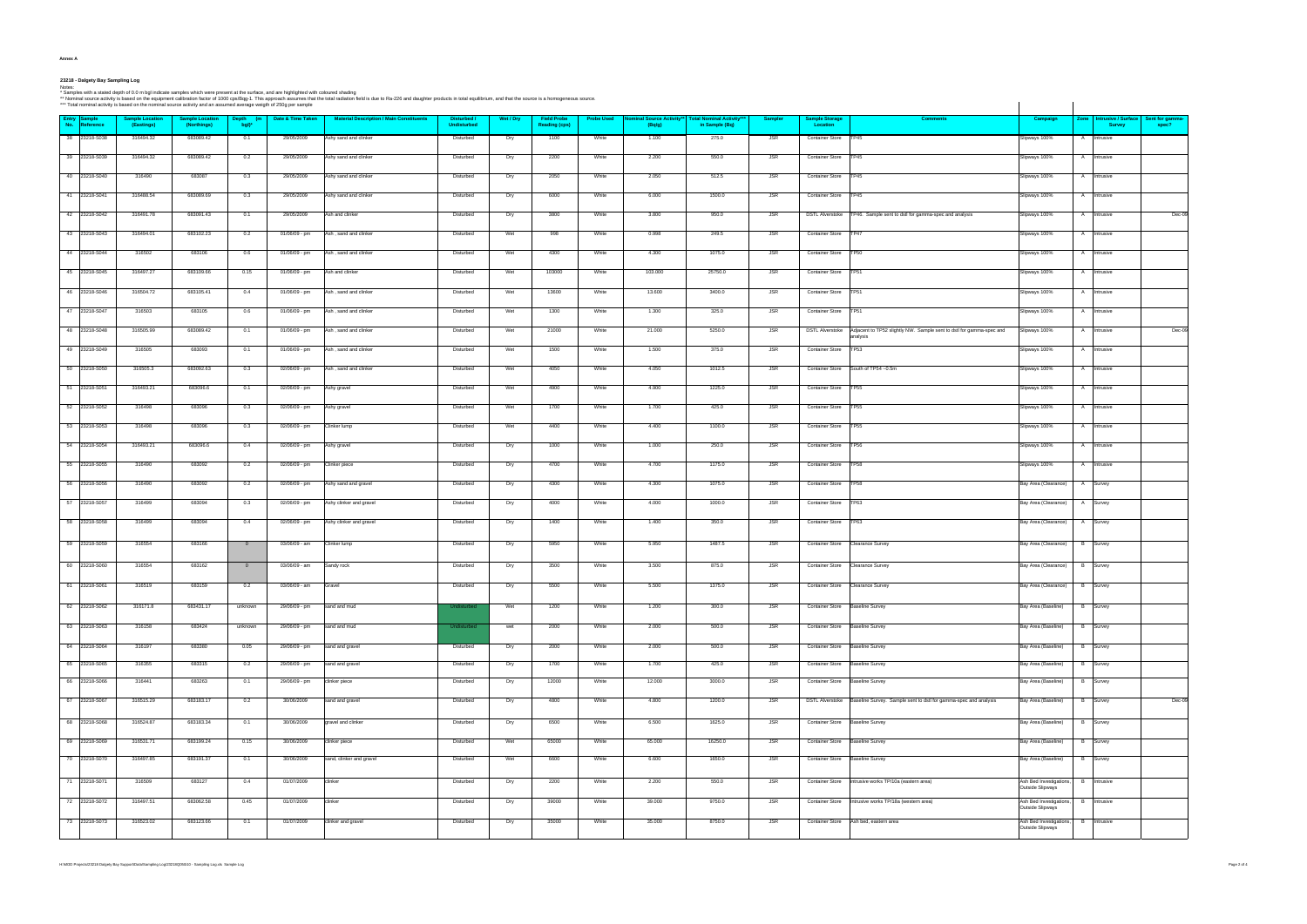| ann<br>., |  |
|-----------|--|
|-----------|--|

23218 - Dalgety Bay Sampling Log<br>Ndes:<br>\* Nominal source activity is based on the equipment calibration factor of 1000 cps/Bq-1. This approach assumes that the surface, and are highlighted with coloured shading<br>\*\* Nominal s

| ** Nominal source activity is based on the equipment calibration factor of 1000 cps/Bqg-1. This approach assumes that the total radiation field is due to Ra-226 and daughter products in total equilibrium, and that the sour<br>*** Total nominal activity is based on the nominal source activity and an assumed average weigth of 250g per sample |                                      |                                       |                   |                   |                                                 |                                   |           |                                            |                   |                                            |                                                 |                |                                   |                                                                                                  |                                             |                                             |                          |
|-------------------------------------------------------------------------------------------------------------------------------------------------------------------------------------------------------------------------------------------------------------------------------------------------------------------------------------------------------|--------------------------------------|---------------------------------------|-------------------|-------------------|-------------------------------------------------|-----------------------------------|-----------|--------------------------------------------|-------------------|--------------------------------------------|-------------------------------------------------|----------------|-----------------------------------|--------------------------------------------------------------------------------------------------|---------------------------------------------|---------------------------------------------|--------------------------|
| Entry Sample<br>No. Reference                                                                                                                                                                                                                                                                                                                         | <b>Sample Location</b><br>(Eastings) | <b>Sample Location</b><br>(Northings) | Depth (m<br>ball* | Date & Time Taken | <b>Material Description / Main Constituents</b> | Disturbed /<br><b>Undisturbed</b> | Wet / Dry | <b>Field Probe</b><br><b>Reading (cps)</b> | <b>Probe Used</b> | <b>Nominal Source Activity**</b><br>(Bq/g) | <b>Total Nominal Activity</b><br>in Sample (Bq) | <b>Sampler</b> | <b>Sample Storage</b><br>Location | <b>Comments</b>                                                                                  | Campaign                                    | Zone   Intrusive / Surface<br><b>Survey</b> | Sent for gamma-<br>spec? |
| 38 23218-S038                                                                                                                                                                                                                                                                                                                                         | 316494.32                            | 683089.42                             | 0.1               | 29/05/2009        | Ashy sand and clinker                           | Disturbed                         | Dry       | 1100                                       | White             | 1.100                                      | 275.0                                           | <b>JSR</b>     | Container Store TP45              |                                                                                                  | Slipways 100%                               | A Intrusive                                 |                          |
| 39 23218-S039                                                                                                                                                                                                                                                                                                                                         | 316494.32                            | 683089.42                             | 0.2               | 29/05/2009        | Ashy sand and clinker                           | Disturbed                         | Dry       | 2200                                       | White             | 2.200                                      | 550.0                                           | <b>JSR</b>     | Container Store   TP45            |                                                                                                  | Slipways 100%                               | A Intrusive                                 |                          |
| 40 23218-S040                                                                                                                                                                                                                                                                                                                                         | 316490                               | 683087                                | 0.3               | 29/05/2009        | Ashy sand and clinker                           | Disturbed                         | Dry       | 2050                                       | White             | 2.050                                      | 512.5                                           | <b>JSR</b>     | Container Store TP45              |                                                                                                  | Slipways 100%                               | A Intrusive                                 |                          |
| 41 23218-S041                                                                                                                                                                                                                                                                                                                                         | 316488.54                            | 683089.69                             | 0.3               | 29/05/2009        | Ashy sand and clinker                           | Disturbed                         | Dry       | 6000                                       | White             | 6.000                                      | 1500.0                                          | <b>JSR</b>     | Container Store TP45              |                                                                                                  | Slipways 100%                               | A Intrusive                                 |                          |
| 42 23218-S042                                                                                                                                                                                                                                                                                                                                         | 316491.78                            | 683091.43                             | 0.1               | 29/05/2009        | Ash and clinker                                 | Disturbed                         | Dry       | 3800                                       | White             | 3.800                                      | 950.0                                           | <b>JSR</b>     |                                   | DSTL Alverstoke TP46. Sample sent to dstl for gamma-spec and analysis                            | Slipways 100%                               | A Intrusive                                 | Dec-09                   |
|                                                                                                                                                                                                                                                                                                                                                       |                                      |                                       |                   |                   |                                                 |                                   |           |                                            | White             |                                            |                                                 |                |                                   |                                                                                                  |                                             |                                             |                          |
| 43 23218-S043                                                                                                                                                                                                                                                                                                                                         | 316494.01                            | 683102.23                             | 0.2               | 01/06/09 - pm     | Ash, sand and clinker                           | Disturbed                         | Wet       | 998                                        |                   | 0.998                                      | 249.5                                           | <b>JSR</b>     | Container Store TP47              |                                                                                                  | Slipways 100%                               | A Intrusive                                 |                          |
| 44 23218-S044                                                                                                                                                                                                                                                                                                                                         | 316502                               | 683106                                | 0.6               | 01/06/09 - pm     | Ash, sand and clinker                           | Disturbed                         | Wet       | 4300                                       | White             | 4.300                                      | 1075.0                                          | <b>JSR</b>     | Container Store TP50              |                                                                                                  | Slipways 100%                               | A Intrusive                                 |                          |
| 45 23218-S045                                                                                                                                                                                                                                                                                                                                         | 316497.27                            | 683109.66                             | 0.15              | 01/06/09 - pm     | Ash and clinker                                 | Disturbed                         | Wet       | 103000                                     | White             | 103.000                                    | 25750.0                                         | <b>JSR</b>     | Container Store   TP51            |                                                                                                  | Slipways 100%                               | A Intrusive                                 |                          |
| 46 23218-S046                                                                                                                                                                                                                                                                                                                                         | 316504.72                            | 683105.41                             | 0.4               | 01/06/09 - pm     | Ash, sand and clinker                           | Disturbed                         | Wet       | 13600                                      | White             | 13.600                                     | 3400.0                                          | <b>JSR</b>     | Container Store   TP51            |                                                                                                  | Slipways 100%                               | A Intrusive                                 |                          |
| 47 23218-S047                                                                                                                                                                                                                                                                                                                                         | 316503                               | 683105                                | 0.6               | 01/06/09 - pm     | Ash, sand and clinker                           | Disturbed                         | Wet       | 1300                                       | White             | 1.300                                      | 325.0                                           | <b>JSR</b>     | Container Store TP51              |                                                                                                  | Slipways 100%                               | A Intrusive                                 |                          |
| 48 23218-S048                                                                                                                                                                                                                                                                                                                                         | 316505.99                            | 683089.42                             | 0.1               | 01/06/09 - pm     | Ash, sand and clinker                           | Disturbed                         | Wet       | 21000                                      | White             | 21.000                                     | 5250.0                                          | <b>JSR</b>     |                                   | DSTL Alverstoke Adjacent to TP52 slightly NW. Sample sent to dstl for gamma-spec and<br>analysis | Slipways 100%                               | A Intrusive                                 | $Dec-09$                 |
| 49 23218-S049                                                                                                                                                                                                                                                                                                                                         | 316505                               | 683093                                | 0.1               | 01/06/09 - pm     | Ash, sand and clinker                           | Disturbed                         | Wet       | 1500                                       | White             | 1.500                                      | 375.0                                           | <b>JSR</b>     | <b>Container Store</b>            | <b>TP53</b>                                                                                      | Slipways 100%                               | A Intrusive                                 |                          |
| 50 23218-S050                                                                                                                                                                                                                                                                                                                                         | 316505.3                             | 683092.63                             | 0.3               | 02/06/09 - pm     | Ash, sand and clinker                           | Disturbed                         | Wet       | 4050                                       | White             | 4.050                                      | 1012.5                                          | <b>JSR</b>     |                                   | Container Store South of TP54~0.5m                                                               | Slipways 100%                               | A Intrusive                                 |                          |
| 51 23218-S051                                                                                                                                                                                                                                                                                                                                         | 316493.21                            | 683096.6                              | 0.1               | 02/06/09 - pm     | Ashy gravel                                     | Disturbed                         | Wet       | 4900                                       | White             | 4.900                                      | 1225.0                                          | <b>JSR</b>     | Container Store TP55              |                                                                                                  | Slipways 100%                               | A Intrusive                                 |                          |
| 52 23218-S052                                                                                                                                                                                                                                                                                                                                         | 316498                               | 683096                                | 0.3               | 02/06/09 - pm     | Ashy gravel                                     | Disturbed                         | Wet       | 1700                                       | White             | 1.700                                      | 425.0                                           | <b>JSR</b>     | Container Store   TP55            |                                                                                                  | Slipways 100%                               | A Intrusive                                 |                          |
| 53 23218-S053                                                                                                                                                                                                                                                                                                                                         | 316498                               | 683096                                | 0.3               | 02/06/09 - pm     | Clinker lump                                    | Disturbed                         | Wet       | 4400                                       | White             | 4.400                                      | 1100.0                                          | <b>JSR</b>     | Container Store TP55              |                                                                                                  | Slipways 100%                               | A Intrusive                                 |                          |
| 54 23218-S054                                                                                                                                                                                                                                                                                                                                         | 316493.21                            | 683096.6                              | 0.4               | 02/06/09 - pm     | Ashy gravel                                     | Disturbed                         | Dry       | 1000                                       | White             | 1.000                                      | 250.0                                           | <b>JSR</b>     | Container Store TP56              |                                                                                                  | Slipways 100%                               | A Intrusive                                 |                          |
| 55 23218-S055                                                                                                                                                                                                                                                                                                                                         | 316490                               | 683092                                | 0.2               | 02/06/09 - pm     | Clinker piece                                   | Disturbed                         | Dry       | 4700                                       | White             | 4.700                                      | 1175.0                                          | <b>JSR</b>     | Container Store   TP58            |                                                                                                  | Slipways 100%                               | A Intrusive                                 |                          |
|                                                                                                                                                                                                                                                                                                                                                       |                                      |                                       |                   |                   |                                                 |                                   |           |                                            |                   |                                            |                                                 |                |                                   |                                                                                                  |                                             |                                             |                          |
| 56 23218-S056                                                                                                                                                                                                                                                                                                                                         | 316490                               | 683092                                | 0.2               | 02/06/09 - pm     | Ashy sand and gravel                            | Disturbed                         | Dry       | 4300                                       | White             | 4.300                                      | 1075.0                                          | <b>JSR</b>     | Container Store TP58              |                                                                                                  | Bay Area (Clearance)                        | A Survey                                    |                          |
| 57 23218-S057                                                                                                                                                                                                                                                                                                                                         | 316499                               | 683094                                | 0.3               | 02/06/09 - pm     | Ashy clinker and gravel                         | Disturbed                         | Dry       | 4000                                       | White             | 4.000                                      | 1000.0                                          | <b>JSR</b>     | Container Store   TP63            |                                                                                                  | Bay Area (Clearance)                        | A Survey                                    |                          |
| 58 23218-S058                                                                                                                                                                                                                                                                                                                                         | 316499                               | 683094                                | 0.4               | 02/06/09 - pm     | Ashy clinker and gravel                         | Disturbed                         | Dry       | 1400                                       | White             | 1.400                                      | 350.0                                           | <b>JSR</b>     | Container Store   TP63            |                                                                                                  | Bay Area (Clearance)                        | A Survey                                    |                          |
| 59 23218-S059                                                                                                                                                                                                                                                                                                                                         | 316554                               | 683166                                | $\overline{0}$    | 03/06/09 - am     | Clinker lump                                    | Disturbed                         | Dry       | 5950                                       | White             | 5.950                                      | 1487.5                                          | JSR            | Container Store Clearance Survey  |                                                                                                  | Bay Area (Clearance)                        | <b>B</b> Survey                             |                          |
| 60 23218-S060                                                                                                                                                                                                                                                                                                                                         | 316554                               | 683162                                | $\overline{0}$    | 03/06/09 - am     | Sandy rock                                      | Disturbed                         | Dry       | 3500                                       | White             | 3.500                                      | 875.0                                           | <b>JSR</b>     |                                   | Container Store Clearance Survey                                                                 | Bay Area (Clearance)                        | <b>B</b> Survey                             |                          |
| 61 23218-S061                                                                                                                                                                                                                                                                                                                                         | 316519                               | 683159                                | 0.2               | 03/06/09 - am     | Gravel                                          | Disturbed                         | Dry       | 5500                                       | White             | 5.500                                      | 1375.0                                          | <b>JSR</b>     | Container Store Clearance Survey  |                                                                                                  | Bay Area (Clearance) B Survey               |                                             |                          |
| 62 23218-S062                                                                                                                                                                                                                                                                                                                                         | 316171.8                             | 683431.17                             | unknown           | 29/06/09 - pm     | sand and mud                                    | Undisturbed                       | Wet       | 1200                                       | White             | 1.200                                      | 300.0                                           | <b>JSR</b>     | Container Store Baseline Survey   |                                                                                                  | Bay Area (Baseline)                         | <b>B</b> Survey                             |                          |
|                                                                                                                                                                                                                                                                                                                                                       |                                      |                                       |                   |                   |                                                 |                                   |           |                                            |                   |                                            |                                                 |                |                                   |                                                                                                  |                                             |                                             |                          |
| 63 23218-S063                                                                                                                                                                                                                                                                                                                                         | 316158                               | 683424                                | unknown           | 29/06/09 - pm     | sand and mud                                    | Undisturbed                       | wet       | 2000                                       | White             | 2.000                                      | 500.0                                           | <b>JSR</b>     | Container Store Baseline Survey   |                                                                                                  | Bay Area (Baseline)                         | <b>B</b> Survey                             |                          |
| 64 23218-S064                                                                                                                                                                                                                                                                                                                                         | 316197                               | 683380                                | 0.05              | 29/06/09 - pm     | sand and gravel                                 | Disturbed                         | Dry       | 2000                                       | White             | 2.000                                      | 500.0                                           | <b>JSR</b>     | Container Store Baseline Survey   |                                                                                                  | Bay Area (Baseline)                         | <b>B</b> Survey                             |                          |
| 65 23218-S065                                                                                                                                                                                                                                                                                                                                         | 316355                               | 683315                                | 0.2               | 29/06/09 - pm     | sand and gravel                                 | Disturbed                         | Dry       | 1700                                       | White             | 1.700                                      | 425.0                                           | <b>JSR</b>     | Container Store Baseline Survey   |                                                                                                  | Bay Area (Baseline)                         | <b>B</b> Survey                             |                          |
| 66 23218-S066                                                                                                                                                                                                                                                                                                                                         | 316441                               | 683263                                | 0.1               | 29/06/09 - pm     | clinker piece                                   | Disturbed                         | Dry       | 12000                                      | White             | 12.000                                     | 3000.0                                          | JSR            | Container Store Baseline Survey   |                                                                                                  | Bay Area (Baseline)                         | <b>B</b> Survey                             |                          |
| 67 23218-S067                                                                                                                                                                                                                                                                                                                                         | 316515.29                            | 683183.17                             | 0.2               | 30/06/2009        | sand and gravel                                 | Disturbed                         | Dry       | 4800                                       | White             | 4.800                                      | 1200.0                                          | <b>JSR</b>     |                                   | DSTL Alverstoke Baseline Survey. Sample sent to dstl for gamma-spec and analysis                 | Bay Area (Baseline)                         | <b>B</b> Survey                             | Dec-09                   |
| 68 23218-S068                                                                                                                                                                                                                                                                                                                                         | 316524.87                            | 683183.34                             | 0.1               | 30/06/2009        | gravel and clinker                              | Disturbed                         | Dry       | 6500                                       | White             | 6.500                                      | 1625.0                                          | <b>JSR</b>     | Container Store Baseline Survey   |                                                                                                  | Bay Area (Baseline)                         | <b>B</b> Survey                             |                          |
| 69 23218-S069                                                                                                                                                                                                                                                                                                                                         | 316531.71                            | 683199.24                             | 0.15              | 30/06/2009        | clinker piece                                   | Disturbed                         | Wet       | 65000                                      | White             | 65.000                                     | 16250.0                                         | <b>JSR</b>     | Container Store Baseline Survey   |                                                                                                  | Bay Area (Baseline)                         | <b>B</b> Survey                             |                          |
| 70 23218-S070                                                                                                                                                                                                                                                                                                                                         | 316497.85                            | 683191.37                             | 0.1               | 30/06/2009        | sand, clinker and gravel                        | Disturbed                         | Wet       | 6600                                       | White             | 6.600                                      | 1650.0                                          | <b>JSR</b>     | Container Store Baseline Survey   |                                                                                                  | Bay Area (Baseline)                         | <b>B</b> Survey                             |                          |
| 71 23218-S071                                                                                                                                                                                                                                                                                                                                         | 316509                               | 683127                                | 0.4               | 01/07/2009        | clinker                                         | Disturbed                         | Dry       | 2200                                       | White             | 2.200                                      | 550.0                                           | <b>JSR</b>     |                                   | Container Store intrusive works TP/10a (eastern area)                                            | Ash Bed Investigations, B Intrusive         |                                             |                          |
| 72 23218-S072                                                                                                                                                                                                                                                                                                                                         | 316497.51                            | 683062.58                             | 0.45              | 01/07/2009        | clinker                                         | Disturbed                         | Dry       | 39000                                      | White             | 39.000                                     | 9750.0                                          | <b>JSR</b>     |                                   | Container Store   Intrusive works TP/18a (western area)                                          | Outside Slipways<br>Ash Bed Investigations, | <b>B</b> Intrusive                          |                          |
| 73 23218-S073                                                                                                                                                                                                                                                                                                                                         | 316523.02                            | 683123.66                             | 0.1               | 01/07/2009        | clinker and gravel                              | Disturbed                         |           | 35000                                      | White             | 35.000                                     | 8750.0                                          | JSR            |                                   | Container Store Ash bed, eastern area                                                            | Outside Slipways<br>Ash Bed Investigations, | <b>B</b> Intrusive                          |                          |
|                                                                                                                                                                                                                                                                                                                                                       |                                      |                                       |                   |                   |                                                 |                                   | Dry       |                                            |                   |                                            |                                                 |                |                                   |                                                                                                  | Outside Slipways                            |                                             |                          |

H:\MOD Projects\23218 Dalgety Bay Support\Data\Sampling Log\23218Q050i10 - Sampling Log.xls Sample Log Page 2 of 4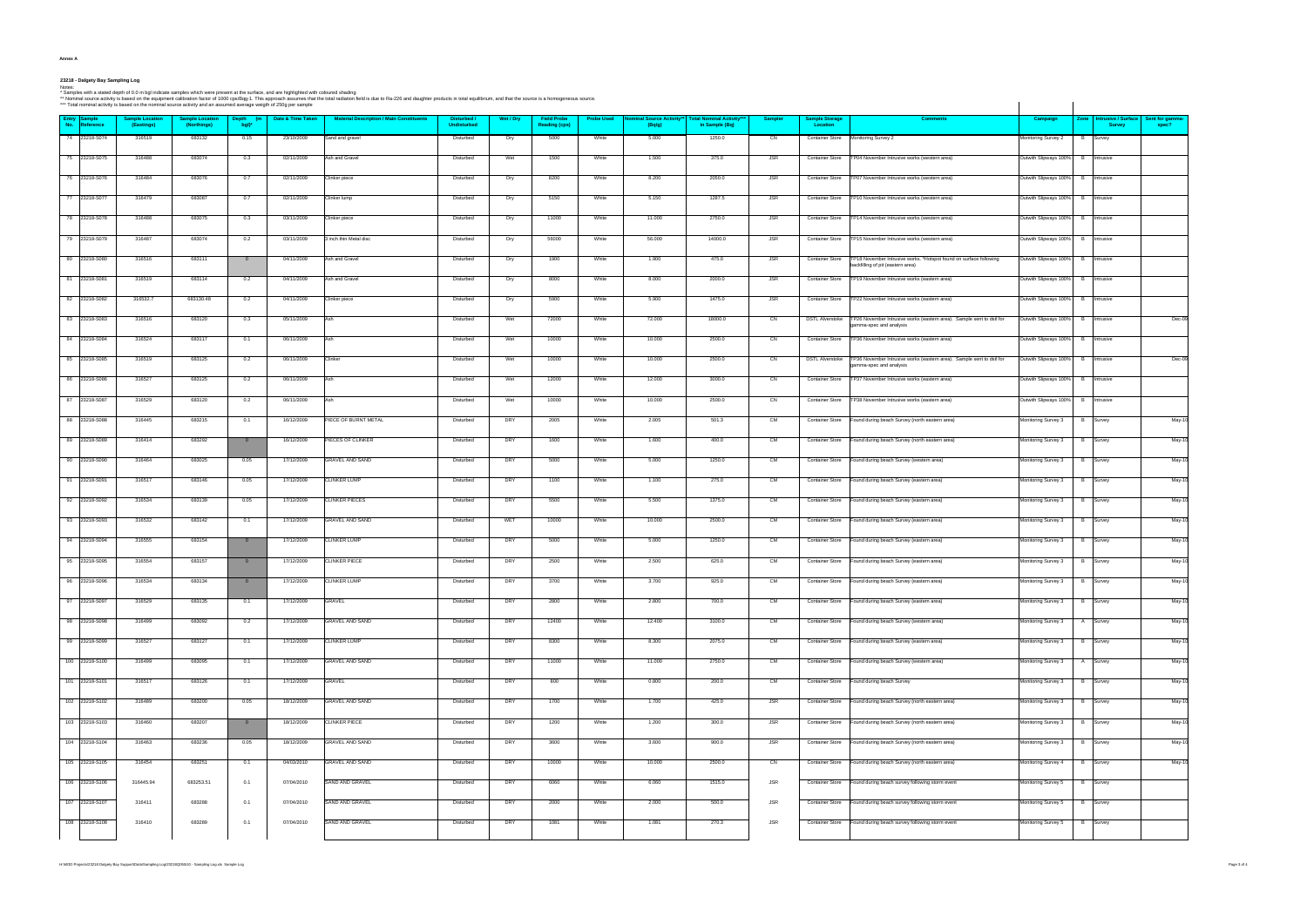| Anne: |  |
|-------|--|
|-------|--|

23218 - Dalgety Bay Sampling Log<br>Ndes:<br>\* Nominal source activity is based on the equipment calibration factor of 1000 cps/Bq-1. This approach assumes that the surface, and are highlighted with coloured shading<br>\*\* Nominal s

|                               | *** Total nominal activity is based on the nominal source activity and an assumed average weigth of 250g per sample |                                       |                         | . gg              | * Nominal source activity is based on the equipment calibration factor of 1000 cps/Bqg-1. This approach assumes that the total radiation field is due to Ra-226 and daughter products in total equilibrium, and that the sourc |                                   |           |                                            |                   |                                            |                                                 |                |                                   |                                                                                                         |                                   |                 |                                             |                          |
|-------------------------------|---------------------------------------------------------------------------------------------------------------------|---------------------------------------|-------------------------|-------------------|--------------------------------------------------------------------------------------------------------------------------------------------------------------------------------------------------------------------------------|-----------------------------------|-----------|--------------------------------------------|-------------------|--------------------------------------------|-------------------------------------------------|----------------|-----------------------------------|---------------------------------------------------------------------------------------------------------|-----------------------------------|-----------------|---------------------------------------------|--------------------------|
| Entry Sample<br>No. Reference | <b>Sample Location</b><br>(Eastings)                                                                                | <b>Sample Location</b><br>(Northings) | Depth (m<br>bgl)*       | Date & Time Taken | <b>Material Description / Main Constituents</b>                                                                                                                                                                                | Disturbed /<br><b>Undisturbed</b> | Wet / Dry | <b>Field Probe</b><br><b>Reading (cps)</b> | <b>Probe Used</b> | <b>Nominal Source Activity**</b><br>(Bq/g) | <b>Total Nominal Activity</b><br>in Sample (Bq) | <b>Sampler</b> | <b>Sample Storage</b><br>Location | <b>Comments</b>                                                                                         | Campaign                          |                 | Zone   Intrusive / Surface<br><b>Survey</b> | Sent for gamma-<br>spec? |
| 74 23218-S074                 | 316519                                                                                                              | 683132                                | 0.15                    | 23/10/2009        | Sand and gravel                                                                                                                                                                                                                | Disturbed                         | Dry       | 5000                                       | White             | 5.000                                      | 1250.0                                          | CN             |                                   | Container Store Monitoring Survey 2                                                                     | Monitoring Survey 2               | B               | Survey                                      |                          |
| 75 23218-S075                 | 316488                                                                                                              | 683074                                | 0.3                     | 02/11/2009        | Ash and Gravel                                                                                                                                                                                                                 | Disturbed                         | Wet       | 1500                                       | White             | 1.500                                      | 375.0                                           | JSR            | <b>Container Store</b>            | TP04 November Intrusive works (western area)                                                            | Outwith Slipways 100% B Intrusive |                 |                                             |                          |
| 76 23218-S076                 | 316484                                                                                                              | 683076                                | 0.7                     | 02/11/2009        | Clinker piece                                                                                                                                                                                                                  | Disturbed                         | Dry       | 8200                                       | White             | 8.200                                      | 2050.0                                          | JSR            | <b>Container Store</b>            | TP07 November Intrusive works (western area)                                                            | Outwith Slipways 100% B Intrusive |                 |                                             |                          |
| 77 23218-S077                 | 316479                                                                                                              | 683087                                | 0.7                     | 02/11/2009        | Clinker lump                                                                                                                                                                                                                   | Disturbed                         | Dry       | 5150                                       | White             | 5.150                                      | 1287.5                                          | <b>JSR</b>     | <b>Container Store</b>            | TP10 November Intrusive works (western area)                                                            | Outwith Slipways 100% B Intrusive |                 |                                             |                          |
| 78 23218-S078                 | 316488                                                                                                              | 683075                                | 0.3                     | 03/11/2009        | Clinker piece                                                                                                                                                                                                                  | Disturbed                         | Dry       | 11000                                      | White             | 11.000                                     | 2750.0                                          | <b>JSR</b>     | <b>Container Store</b>            | TP14 November Intrusive works (western area)                                                            | Outwith Slipways 100% B Intrusive |                 |                                             |                          |
| 79 23218-S079                 | 316487                                                                                                              | 683074                                | 0.2                     | 03/11/2009        | 3 inch thin Metal disc                                                                                                                                                                                                         | Disturbed                         | Dry       | 56000                                      | White             | 56.000                                     | 14000.0                                         | <b>JSR</b>     | <b>Container Store</b>            | TP15 November Intrusive works (western area)                                                            | Outwith Slipways 100% B Intrusive |                 |                                             |                          |
| 80 23218-S080                 | 316516                                                                                                              | 683111                                | $\overline{0}$          | 04/11/2009        | Ash and Gravel                                                                                                                                                                                                                 | Disturbed                         | Dry       | 1900                                       | White             | 1.900                                      | 475.0                                           | JSR            | <b>Container Store</b>            | TP18 November Intrusive works. *Hotspot found on surface following<br>backfilling of pit (eastern area) | Outwith Slipways 100% B Intrusive |                 |                                             |                          |
| 81 23218-S081                 | 316519                                                                                                              | 683114                                | 0.2                     | 04/11/2009        | Ash and Gravel                                                                                                                                                                                                                 | Disturbed                         | Dry       | 8000                                       | White             | 8.000                                      | 2000.0                                          | <b>JSR</b>     | <b>Container Store</b>            | TP19 November Intrusive works (eastern area)                                                            | Outwith Slipways 100% B Intrusive |                 |                                             |                          |
| 82 23218-S082                 | 316532.7                                                                                                            | 683130.48                             | 0.2                     | 04/11/2009        | Clinker piece                                                                                                                                                                                                                  | Disturbed                         | Dry       | 5900                                       | White             | 5.900                                      | 1475.0                                          | <b>JSR</b>     | <b>Container Store</b>            | TP22 November Intrusive works (eastern area)                                                            | Outwith Slipways 100% B Intrusive |                 |                                             |                          |
| 83 23218-S083                 | 316516                                                                                                              | 683120                                | 0.3                     | 05/11/2009        | <b>Ash</b>                                                                                                                                                                                                                     | Disturbed                         | Wet       | 72000                                      | White             | 72.000                                     | 18000.0                                         | $\overline{c}$ | <b>DSTL Alverstoke</b>            | TP26 November Intrusive works (eastern area). Sample sent to dstl for<br>gamma-spec and analysis        | Outwith Slipways 100% B Intrusive |                 |                                             | Dec-09                   |
| 84 23218-S084                 | 316524                                                                                                              | 683117                                | 0.1                     | 06/11/2009        | Ash                                                                                                                                                                                                                            | Disturbed                         | Wet       | 10000                                      | White             | 10.000                                     | 2500.0                                          | CN             | <b>Container Store</b>            | TP36 November Intrusive works (eastern area)                                                            | Outwith Slipways 100% B Intrusive |                 |                                             |                          |
| 85 23218-S085                 | 316519                                                                                                              | 683125                                | 0.2                     | 06/11/2009        | Clinker                                                                                                                                                                                                                        | Disturbed                         | Wet       | 10000                                      | White             | 10.000                                     | 2500.0                                          | CN             | <b>DSTL Alverstoke</b>            | TP36 November Intrusive works (eastern area). Sample sent to dstl for<br>gamma-spec and analysis        | Outwith Slipways 100% B Intrusive |                 |                                             | Dec-09                   |
| 86 23218-S086                 | 316527                                                                                                              | 683125                                | 0.2                     | 06/11/2009        | Ash                                                                                                                                                                                                                            | Disturbed                         | Wet       | 12000                                      | White             | 12.000                                     | 3000.0                                          | CN             | <b>Container Store</b>            | TP37 November Intrusive works (eastern area)                                                            | Outwith Slipways 100% B Intrusive |                 |                                             |                          |
| 87 23218-S087                 | 316529                                                                                                              | 683120                                | 0.2                     | 06/11/2009        | Ash                                                                                                                                                                                                                            | Disturbed                         | Wet       | 10000                                      | White             | 10.000                                     | 2500.0                                          | CN             | <b>Container Store</b>            | TP38 November Intrusive works (eastern area)                                                            | Outwith Slipways 100% B Intrusive |                 |                                             |                          |
| 88 23218-S088                 | 316445                                                                                                              | 683215                                | 0.1                     | 16/12/2009        | PIECE OF BURNT METAL                                                                                                                                                                                                           | Disturbed                         | DRY       | 2005                                       | White             | 2.005                                      | 501.3                                           | CM             | <b>Container Store</b>            | Found during beach Survey (north eastern area)                                                          | Monitoring Survey 3               |                 | B Survey                                    | May-10                   |
| 89 23218-S089                 | 316414                                                                                                              | 683292                                | $\overline{0}$          | 16/12/2009        | PIECES OF CLINKER                                                                                                                                                                                                              | Disturbed                         | DRY       | 1600                                       | White             | 1.600                                      | 400.0                                           | CM             | <b>Container Store</b>            | Found during beach Survey (north eastern area)                                                          | Monitoring Survey 3               |                 | <b>B</b> Survey                             | May-10                   |
| 90 23218-S090                 | 316464                                                                                                              | 683025                                | 0.05                    | 17/12/2009        | GRAVEL AND SAND                                                                                                                                                                                                                | Disturbed                         | DRY       | 5000                                       | White             | 5.000                                      | 1250.0                                          | CM             | <b>Container Store</b>            | Found during beach Survey (western area)                                                                | Monitoring Survey 3               |                 | B Survey                                    | May-10                   |
| 91 23218-S091                 | 316517                                                                                                              | 683146                                | 0.05                    | 17/12/2009        | <b>CLINKER LUMP</b>                                                                                                                                                                                                            | Disturbed                         | DRY       | 1100                                       | White             | 1.100                                      | 275.0                                           | CM             | <b>Container Store</b>            | Found during beach Survey (eastern area)                                                                | Monitoring Survey 3               |                 | <b>B</b> Survey                             | May-10                   |
| 92 23218-S092                 | 316534                                                                                                              | 683139                                | 0.05                    | 17/12/2009        | <b>CLINKER PIECES</b>                                                                                                                                                                                                          | Disturbed                         | DRY       | 5500                                       | White             | 5.500                                      | 1375.0                                          | CM             | <b>Container Store</b>            | Found during beach Survey (eastern area)                                                                | Monitoring Survey 3               | <b>B</b> Survey |                                             | May-10                   |
| 93 23218-S093                 | 316532                                                                                                              | 683142                                | 0.1                     | 17/12/2009        | <b>GRAVEL AND SAND</b>                                                                                                                                                                                                         | Disturbed                         | WET       | 10000                                      | White             | 10.000                                     | 2500.0                                          | CM             | <b>Container Store</b>            | Found during beach Survey (eastern area)                                                                | Monitoring Survey 3               |                 | <b>B</b> Survey                             | May-10                   |
| 94 23218-S094                 | 316555                                                                                                              | 683154                                | $\overline{0}$          | 17/12/2009        | <b>CLINKER LUMP</b>                                                                                                                                                                                                            | Disturbed                         | DRY       | 5000                                       | White             | 5.000                                      | 1250.0                                          | CM             | <b>Container Store</b>            | Found during beach Survey (eastern area)                                                                | Monitoring Survey 3               |                 | B Survey                                    | May-10                   |
| 95 23218-S095                 | 316554                                                                                                              | 683157                                | $\overline{0}$          | 17/12/2009        | <b>CLINKER PIECE</b>                                                                                                                                                                                                           | Disturbed                         | DRY       | 2500                                       | White             | 2.500                                      | 625.0                                           | CM             |                                   | Container Store Found during beach Survey (eastern area)                                                | Monitoring Survey 3               |                 | B Survey                                    | May-10                   |
| 96 23218-S096                 | 316534                                                                                                              | 683134                                | $\overline{0}$          | 17/12/2009        | <b>CLINKER LUMP</b>                                                                                                                                                                                                            | Disturbed                         | DRY       | 3700                                       | White             | 3.700                                      | 925.0                                           | CM             |                                   | Container Store Found during beach Survey (eastern area)                                                | Monitoring Survey 3               |                 | <b>B</b> Survey                             | May-10                   |
| 97 23218-S097                 | 316529                                                                                                              | 683135                                | 0.1                     | 17/12/2009        | GRAVEL                                                                                                                                                                                                                         | Disturbed                         | DRY       | 2800                                       | White             | 2.800                                      | 700.0                                           | CM             |                                   | Container Store Found during beach Survey (eastern area)                                                | Monitoring Survey 3               |                 | B Survey                                    | May-10                   |
| 98 23218-S098                 | 316499                                                                                                              | 683092                                | 0.2                     | 17/12/2009        | <b>GRAVEL AND SAND</b>                                                                                                                                                                                                         | Disturbed                         | DRY       | 12400                                      | White             | 12.400                                     | 3100.0                                          | CM             |                                   | Container Store Found during beach Survey (western area)                                                | Monitoring Survey 3               |                 | A Survey                                    | May-10                   |
| 99 23218-S099                 | 316527                                                                                                              | 683127                                | 0.1                     | 17/12/2009        | <b>CLINKER LUMP</b>                                                                                                                                                                                                            | Disturbed                         | DRY       | 8300                                       | White             | 8.300                                      | 2075.0                                          | CM             |                                   | Container Store Found during beach Survey (eastern area)                                                | Monitoring Survey 3               |                 | <b>B</b> Survey                             | May-10                   |
| 100 23218-S100                | 316499                                                                                                              | 683095                                | 0.1                     | 17/12/2009        | <b>GRAVEL AND SAND</b>                                                                                                                                                                                                         | Disturbed                         | DRY       | 11000                                      | White             | 11.000                                     | 2750.0                                          | <b>CM</b>      |                                   | Container Store Found during beach Survey (western area)                                                | Monitoring Survey 3               |                 | A Survey                                    | May-10                   |
| 101 23218-S101                | 316517                                                                                                              | 683126                                | 0.1                     | 17/12/2009        | GRAVEL                                                                                                                                                                                                                         | Disturbed                         | DRY       | 800                                        | White             | 0.800                                      | 200.0                                           | CM             |                                   | Container Store Found during beach Survey                                                               | Monitoring Survey 3               |                 | <b>B</b> Survey                             | May-10                   |
| 102 23218-S102                | 316489                                                                                                              | 683200                                | 0.05                    | 18/12/2009        | <b>GRAVEL AND SAND</b>                                                                                                                                                                                                         | Disturbed                         | DRY       | 1700                                       | White             | 1.700                                      | 425.0                                           | <b>JSR</b>     | <b>Container Store</b>            | Found during beach Survey (north eastern area)                                                          | Monitoring Survey 3   B Survey    |                 |                                             | May-10                   |
| 103 23218-S103                | 316460                                                                                                              | 683207                                | $\overline{\mathbf{0}}$ | 18/12/2009        | <b>CLINKER PIECE</b>                                                                                                                                                                                                           | Disturbed                         | DRY       | 1200                                       | White             | 1.200                                      | 300.0                                           | <b>JSR</b>     |                                   | Container Store Found during beach Survey (north eastern area)                                          | Monitoring Survey 3   B Survey    |                 |                                             | May-10                   |
| 104 23218-S104                | 316463                                                                                                              | 683236                                | 0.05                    | 18/12/2009        | <b>GRAVEL AND SAND</b>                                                                                                                                                                                                         | Disturbed                         | DRY       | 3600                                       | White             | 3.600                                      | 900.0                                           | <b>JSR</b>     |                                   | Container Store Found during beach Survey (north eastern area)                                          | Monitoring Survey 3               | <b>B</b> Survey |                                             | May-10                   |
| 105 23218-S105                | 316454                                                                                                              | 683251                                | 0.1                     | 04/03/2010        | <b>GRAVEL AND SAND</b>                                                                                                                                                                                                         | Disturbed                         | DRY       | 10000                                      | White             | 10.000                                     | 2500.0                                          | C <sub>N</sub> | <b>Container Store</b>            | Found during beach Survey (north eastern area)                                                          | Monitoring Survey 4               |                 | <b>B</b> Survey                             | May-10                   |
| 106 23218-S106                | 316445.94                                                                                                           | 683253.51                             | 0.1                     | 07/04/2010        | SAND AND GRAVEL                                                                                                                                                                                                                | Disturbed                         | DRY       | 6060                                       | White             | 6.060                                      | 1515.0                                          | JSR            |                                   | Container Store Found during beach survey following storm event                                         | Monitoring Survey 5               |                 | <b>B</b> Survey                             |                          |
| 107 23218-S107                | 316411                                                                                                              | 683288                                | 0.1                     | 07/04/2010        | SAND AND GRAVEL                                                                                                                                                                                                                | Disturbed                         | DRY       | 2000                                       | White             | 2.000                                      | 500.0                                           | JSR            | <b>Container Store</b>            | Found during beach survey following storm event                                                         | Monitoring Survey 5               | <b>B</b> Survey |                                             |                          |
| 108 23218-S108                | 316410                                                                                                              | 683289                                | 0.1                     | 07/04/2010        | SAND AND GRAVEL                                                                                                                                                                                                                | Disturbed                         | DRY       | 1081                                       | White             | 1.081                                      | 270.3                                           | JSR            |                                   | Container Store Found during beach survey following storm event                                         | Monitoring Survey 5               |                 | B Survey                                    |                          |
|                               |                                                                                                                     |                                       |                         |                   |                                                                                                                                                                                                                                |                                   |           |                                            |                   |                                            |                                                 |                |                                   |                                                                                                         |                                   |                 |                                             |                          |

H:\MOD Projects\23218 Dalgety Bay Support\Data\Sampling Log\23218Q050i10 - Sampling Log.xls Sample Log Page 3 of 4